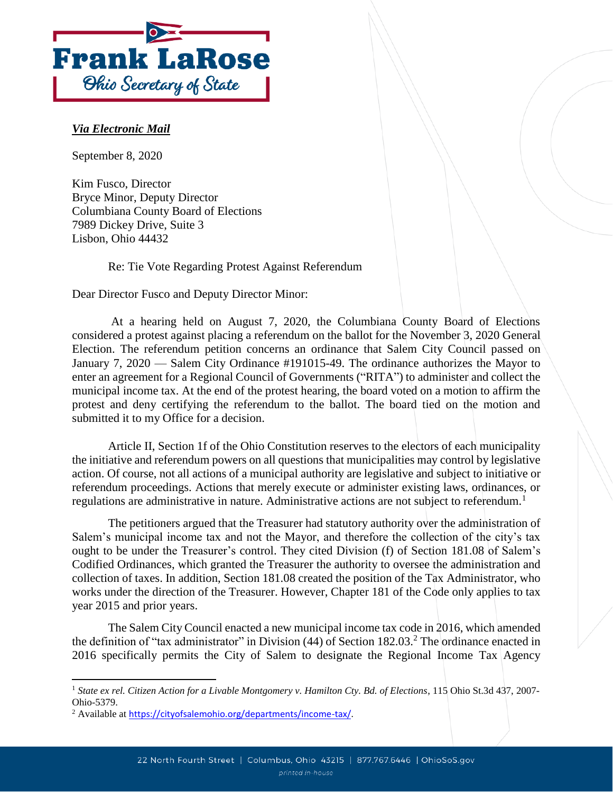

## *Via Electronic Mail*

September 8, 2020

Kim Fusco, Director Bryce Minor, Deputy Director Columbiana County Board of Elections 7989 Dickey Drive, Suite 3 Lisbon, Ohio 44432

Re: Tie Vote Regarding Protest Against Referendum

Dear Director Fusco and Deputy Director Minor:

At a hearing held on August 7, 2020, the Columbiana County Board of Elections considered a protest against placing a referendum on the ballot for the November 3, 2020 General Election. The referendum petition concerns an ordinance that Salem City Council passed on January 7, 2020 — Salem City Ordinance #191015-49. The ordinance authorizes the Mayor to enter an agreement for a Regional Council of Governments ("RITA") to administer and collect the municipal income tax. At the end of the protest hearing, the board voted on a motion to affirm the protest and deny certifying the referendum to the ballot. The board tied on the motion and submitted it to my Office for a decision.

Article II, Section 1f of the Ohio Constitution reserves to the electors of each municipality the initiative and referendum powers on all questions that municipalities may control by legislative action. Of course, not all actions of a municipal authority are legislative and subject to initiative or referendum proceedings. Actions that merely execute or administer existing laws, ordinances, or regulations are administrative in nature. Administrative actions are not subject to referendum.<sup>1</sup>

The petitioners argued that the Treasurer had statutory authority over the administration of Salem's municipal income tax and not the Mayor, and therefore the collection of the city's tax ought to be under the Treasurer's control. They cited Division (f) of Section 181.08 of Salem's Codified Ordinances, which granted the Treasurer the authority to oversee the administration and collection of taxes. In addition, Section 181.08 created the position of the Tax Administrator, who works under the direction of the Treasurer. However, Chapter 181 of the Code only applies to tax year 2015 and prior years.

The Salem City Council enacted a new municipal income tax code in 2016, which amended the definition of "tax administrator" in Division (44) of Section 182.03.<sup>2</sup> The ordinance enacted in 2016 specifically permits the City of Salem to designate the Regional Income Tax Agency

 $\overline{\phantom{a}}$ <sup>1</sup> *State ex rel. Citizen Action for a Livable Montgomery v. Hamilton Cty. Bd. of Elections*, 115 Ohio St.3d 437, 2007- Ohio-5379.

<sup>&</sup>lt;sup>2</sup> Available at [https://cityofsalemohio.org/departments/income-tax/.](https://cityofsalemohio.org/departments/income-tax/)